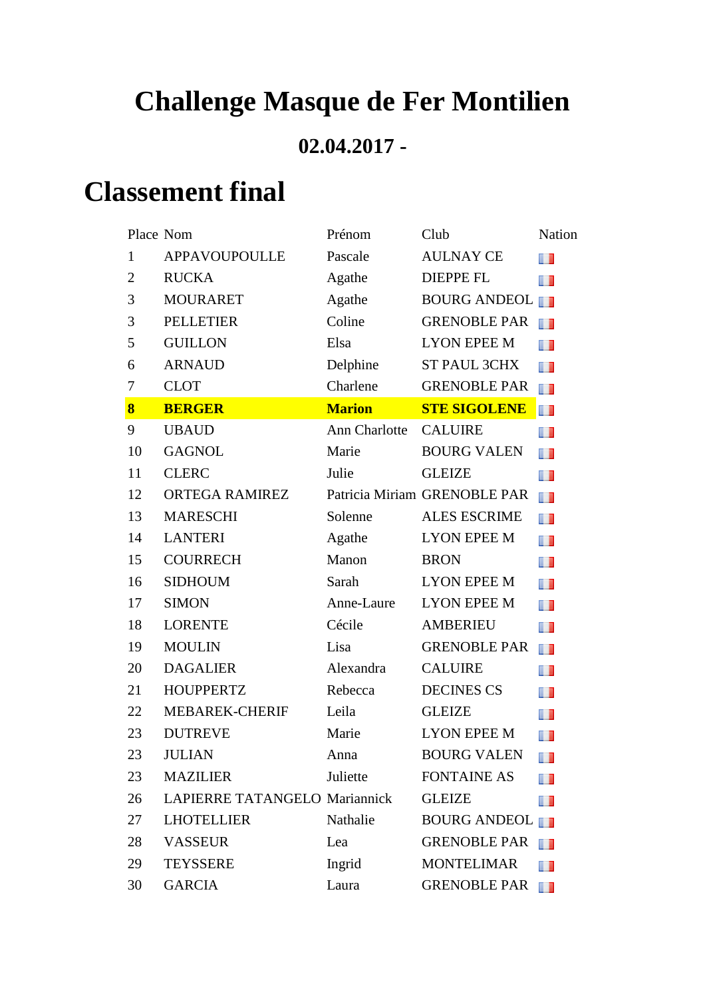## **Challenge Masque de Fer Montilien**

## **02.04.2017 -**

## **Classement final**

| Place Nom               |                               | Prénom               | Club                         | Nation         |
|-------------------------|-------------------------------|----------------------|------------------------------|----------------|
| $\mathbf{1}$            | APPAVOUPOULLE                 | Pascale              | <b>AULNAY CE</b>             | n              |
| $\overline{2}$          | <b>RUCKA</b>                  | Agathe               | <b>DIEPPE FL</b>             | m              |
| 3                       | <b>MOURARET</b>               | Agathe               | <b>BOURG ANDEOL</b>          |                |
| 3                       | <b>PELLETIER</b>              | Coline               | <b>GRENOBLE PAR</b>          | l I            |
| 5                       | <b>GUILLON</b>                | Elsa                 | <b>LYON EPEE M</b>           | H.             |
| 6                       | <b>ARNAUD</b>                 | Delphine             | ST PAUL 3CHX                 | H.             |
| 7                       | <b>CLOT</b>                   | Charlene             | <b>GRENOBLE PAR</b>          | H.             |
| $\overline{\mathbf{8}}$ | <b>BERGER</b>                 | <b>Marion</b>        | <b>STE SIGOLENE</b>          | $\blacksquare$ |
| 9                       | <b>UBAUD</b>                  | <b>Ann Charlotte</b> | <b>CALUIRE</b>               | m              |
| 10                      | <b>GAGNOL</b>                 | Marie                | <b>BOURG VALEN</b>           | H              |
| 11                      | <b>CLERC</b>                  | Julie                | <b>GLEIZE</b>                | H I            |
| 12                      | <b>ORTEGA RAMIREZ</b>         |                      | Patricia Miriam GRENOBLE PAR | H              |
| 13                      | <b>MARESCHI</b>               | Solenne              | <b>ALES ESCRIME</b>          | m              |
| 14                      | <b>LANTERI</b>                | Agathe               | <b>LYON EPEE M</b>           | H)             |
| 15                      | <b>COURRECH</b>               | Manon                | <b>BRON</b>                  | H I            |
| 16                      | <b>SIDHOUM</b>                | Sarah                | <b>LYON EPEE M</b>           | H.             |
| 17                      | <b>SIMON</b>                  | Anne-Laure           | <b>LYON EPEE M</b>           | m              |
| 18                      | <b>LORENTE</b>                | Cécile               | <b>AMBERIEU</b>              | H.             |
| 19                      | <b>MOULIN</b>                 | Lisa                 | <b>GRENOBLE PAR</b>          | l I            |
| 20                      | <b>DAGALIER</b>               | Alexandra            | <b>CALUIRE</b>               | m              |
| 21                      | <b>HOUPPERTZ</b>              | Rebecca              | <b>DECINES CS</b>            | m              |
| 22                      | <b>MEBAREK-CHERIF</b>         | Leila                | <b>GLEIZE</b>                | H I            |
| 23                      | <b>DUTREVE</b>                | Marie                | <b>LYON EPEE M</b>           | H              |
| 23                      | <b>JULIAN</b>                 | Anna                 | <b>BOURG VALEN</b>           | W              |
| 23                      | MAZILIER                      | Juliette             | <b>FONTAINE AS</b>           | H              |
| 26                      | LAPIERRE TATANGELO Mariannick |                      | <b>GLEIZE</b>                | H              |
| 27                      | <b>LHOTELLIER</b>             | Nathalie             | <b>BOURG ANDEOL</b>          |                |
| 28                      | <b>VASSEUR</b>                | Lea                  | <b>GRENOBLE PAR</b>          | H              |
| 29                      | <b>TEYSSERE</b>               | Ingrid               | <b>MONTELIMAR</b>            | m              |
| 30                      | <b>GARCIA</b>                 | Laura                | <b>GRENOBLE PAR</b>          | ш              |